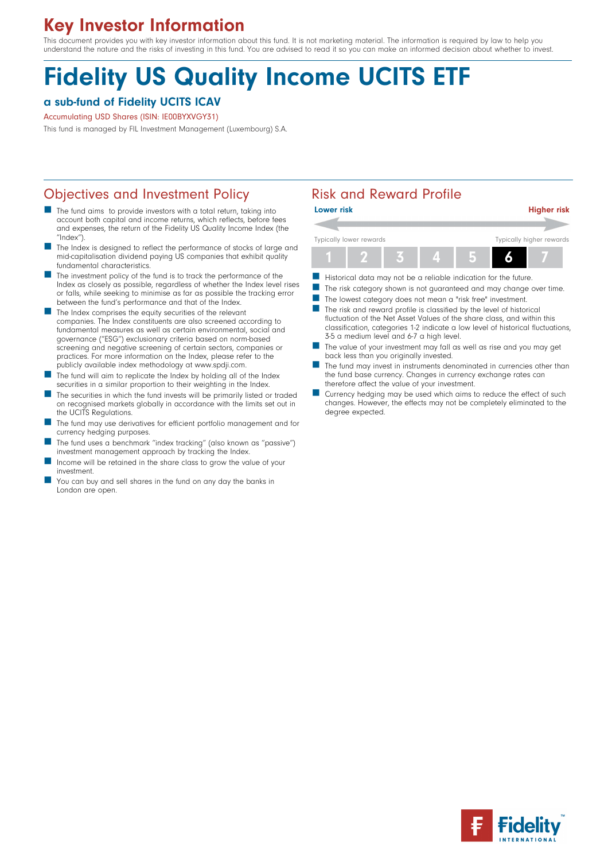# Key Investor Information

This document provides you with key investor information about this fund. It is not marketing material. The information is required by law to help you understand the nature and the risks of investing in this fund. You are advised to read it so you can make an informed decision about whether to invest.

# Fidelity US Quality Income UCITS ETF

### a sub-fund of Fidelity UCITS ICAV

#### Accumulating USD Shares (ISIN: IE00BYXVGY31)

This fund is managed by FIL Investment Management (Luxembourg) S.A.

# Objectives and Investment Policy **Risk and Reward Profile**

- The fund aims to provide investors with a total return, taking into account both capital and income returns, which reflects, before fees and expenses, the return of the Fidelity US Quality Income Index (the ''Index'').
- The Index is designed to reflect the performance of stocks of large and mid-capitalisation dividend paying US companies that exhibit quality fundamental characteristics.
- The investment policy of the fund is to track the performance of the Index as closely as possible, regardless of whether the Index level rises or falls, while seeking to minimise as far as possible the tracking error between the fund's performance and that of the Index.
- The Index comprises the equity securities of the relevant companies. The Index constituents are also screened according to fundamental measures as well as certain environmental, social and governance (''ESG'') exclusionary criteria based on norm-based screening and negative screening of certain sectors, companies or practices. For more information on the Index, please refer to the publicly available index methodology at www.spdji.com.
- The fund will aim to replicate the Index by holding all of the Index securities in a similar proportion to their weighting in the Index.
- The securities in which the fund invests will be primarily listed or traded on recognised markets globally in accordance with the limits set out in the UCITS Regulations.
- The fund may use derivatives for efficient portfolio management and for currency hedging purposes.
- The fund uses a benchmark "index tracking" (also known as "passive") investment management approach by tracking the Index.
- Income will be retained in the share class to grow the value of your investment.
- You can buy and sell shares in the fund on any day the banks in London are open.

| <b>Lower risk</b>       |  |  |  |  | <b>Higher risk</b>       |
|-------------------------|--|--|--|--|--------------------------|
|                         |  |  |  |  |                          |
| Typically lower rewards |  |  |  |  | Typically higher rewards |
|                         |  |  |  |  |                          |

- Historical data may not be a reliable indication for the future.<br>■ The risk category shown is not quaranteed and may change.
- The risk category shown is not guaranteed and may change over time.
- The lowest category does not mean a "risk free" investment.
- $\blacksquare$  The risk and reward profile is classified by the level of historical fluctuation of the Net Asset Values of the share class, and within this classification, categories 1-2 indicate a low level of historical fluctuations, 3-5 a medium level and 6-7 a high level.
- The value of your investment may fall as well as rise and you may get back less than you originally invested.
- The fund may invest in instruments denominated in currencies other than the fund base currency. Changes in currency exchange rates can therefore affect the value of your investment.
- Currency hedging may be used which aims to reduce the effect of such changes. However, the effects may not be completely eliminated to the degree expected.